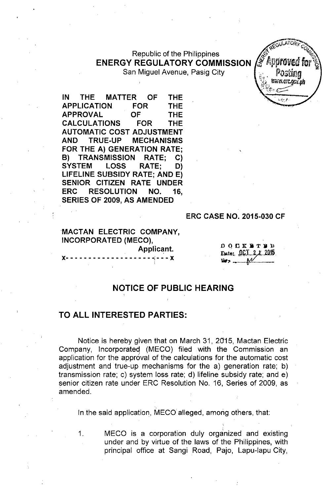# Republic of the Philippines **ENERGY REGULATORY COMMISSION**

San Miguel Avenue, Pasig City

**IN THE MATTER OF THE APPLICATION FOR THE APPROVAL OF THE CALCULATIONS FOR THE AUTOMATIC COST ADJUSTMENT AND TRUE-UP MECHANISMS FOR THE A) GENERATION RATE; B) TRANSMISSION RATE; C) SYSTEM LOSS RATE; D) LIFELINE SUBSIDY RATE; AND E) SENIOR CITIZEN RATE UNDER ERC RESOLUTION NO. 16, SERIES OF 2009, AS AMENDED**

#### **ERC CASE NO. 2015-030 CF**

## **MACTAN ELECTRIC COMPANY, INCORPORATED (MECO), Applicant.**

x-------------------~---x i

 $000$   $000$ Date: 00.1 24 2015 

## **NOTICE OF PUBLIC HEARING**

### **TO ALL INTERESTED PARTIES:**

Notice is hereby given that on March 31, 2015, Mactan Electric Company, Incorporateq (MECO) filed with the Commission an application for the approval of the calculations for the automatic cost adjustment and true-up mechanisms for the a) generation rate; b) transmission rate; c) system loss rate; d) lifeline subsidy rate; and e) senior citizen rate under ERC Resolution No. 16, Series of 2009, as amended.

In the said application, MECO alleged, among others, that:

1. MECO is a corporation duly organized and existing under and by virtue of the laws of the Philippines, with principal office at Sangi Road, Pajo, Lapu-Iapu City,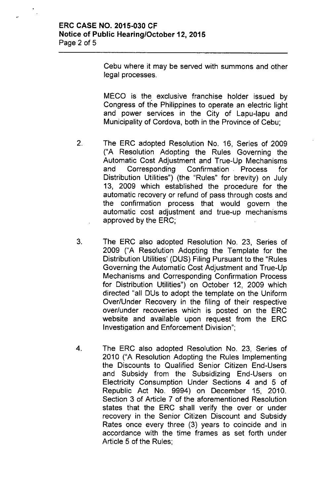Cebu where it may be served with summons and other legal processes.

MECO is the exclusive franchise holder issued by Congress of the Philippines to operate an electric light and power services in the City of Lapu-Iapu and Municipality of Cordova, both in the Province of Cebu;

- 2. The ERC adopted Resolution No. 16, Series of 2009 ("A Resolution Adopting the Rules Governing the Automatic Cost Adjustment and True-Up Mechanisms and Corresponding Confirmation. Process for Distribution Utilities") (the "Rules" for brevity) on July 13, 2009 which established the procedure for the automatic recovery or refund of pass through costs and the confirmation process that would govern the automatic cost adjustment and true-up mechanisms approved by the ERC;
- 3. The ERC also adopted Resolution No. 23, Series of 2009 ("A Resolution Adopting the Template for the Distribution Utilities' (DUS) Filing Pursuant to the "Rules Governing the Automatic Cost Adjustment and True-Up Mechanisms and Corresponding Confirmation Process for Distribution Utilities") on October 12, 2009 which directed "all DUs to adopt the template on the Uniform Over/Under Recovery in the filing of their respective over/under recoveries which is posted on the ERC website and available upon request from the ERC Investigation and Enforcement Division";
- 4. The ERC also adopted Resolution No. 23, Series of 2010 ("A Resolution Adopting the Rules Implementing the Discounts to Qualified Senior Citizen End-Users and Subsidy from the Subsidizing End-Users on Electricity Consumption Under Sections 4 and 5 of Republic Act No. 9994) on December 15, 2010. Section 3 of Article 7 of the aforementioned Resolution states that the ERC shall verify the over or under recovery in the Senior Citizen Discount and Subsidy Rates once every three (3) years to coincide and in accordance with the time frames as set forth under Article 5 of the Rules;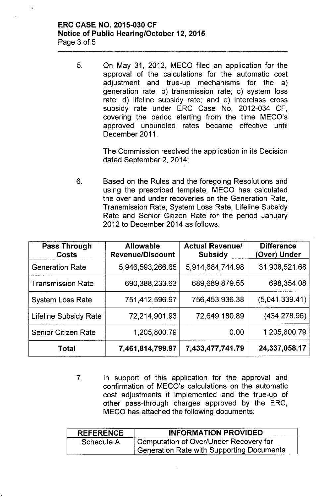### ERC CASE NO. 2015-030 CF Notice of Public Hearing/October 12,2015 Page 3 of 5

5. Ch May 31, 2012, MECO filed an application for the approval of the calculations for the automatic cost adjustment and true-up mechanisms for the a) generation rate; b) transmission rate; c) system loss rate; d) lifeline subsidy rate; and e) interclass cross subsidy rate under ERC Case No, 2012-034 CF, covering the period starting from the time MECO's approved unbundled rates became effective until December 2011.

> The Commission resolved the application in its Decision dated September 2, 2014;

6. Based on the Rules and the foregoing Resolutions and using the prescribed template, MECO has calculated the over and under recoveries on the Generation Rate, Transmission Rate, System Loss Rate, Lifeline Subsidy Rate and Senior Citizen Rate for the period January 2012 to December 2014 as follows:

| <b>Pass Through</b><br><b>Costs</b> | <b>Allowable</b><br><b>Revenue/Discount</b> | <b>Actual Revenue/</b><br><b>Subsidy</b> | <b>Difference</b><br>(Over) Under |
|-------------------------------------|---------------------------------------------|------------------------------------------|-----------------------------------|
| <b>Generation Rate</b>              | 5,946,593,266.65                            | 5.914.684.744.98                         | 31,908,521.68                     |
| <b>Transmission Rate</b>            | 690,388,233.63                              | 689,689,879.55                           | 698,354.08                        |
| <b>System Loss Rate</b>             | 751,412,596.97                              | 756,453,936.38                           | (5,041,339.41)                    |
| <b>Lifeline Subsidy Rate</b>        | 72,214,901.93                               | 72,649,180.89                            | (434, 278.96)                     |
| <b>Senior Citizen Rate</b>          | 1,205,800.79                                | 0.00                                     | 1,205,800.79                      |
| <b>Total</b>                        | 7,461,814,799.97                            | 7.433.477,741.79                         | 24,337,058.17                     |

7. In support of this application for the approval and confirmation of MECO's calculations on the automatic cost adjustments it implemented and the true-up of other pass-through charges approved by the ERC, MECO has attached the following documents:

| <b>REFERENCE</b> | <b>INFORMATION PROVIDED</b>                      |  |  |
|------------------|--------------------------------------------------|--|--|
| Schedule A       | Computation of Over/Under Recovery for           |  |  |
|                  | <b>Generation Rate with Supporting Documents</b> |  |  |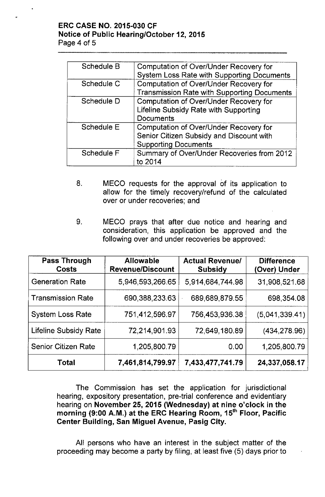## **ERC CASE NO. 2015-030 CF Notice of Public Hearing/October 12,2015** Page 4 of 5

| Schedule B | Computation of Over/Under Recovery for             |  |  |
|------------|----------------------------------------------------|--|--|
|            | <b>System Loss Rate with Supporting Documents</b>  |  |  |
| Schedule C | Computation of Over/Under Recovery for             |  |  |
|            | <b>Transmission Rate with Supporting Documents</b> |  |  |
| Schedule D | Computation of Over/Under Recovery for             |  |  |
|            | Lifeline Subsidy Rate with Supporting              |  |  |
|            | Documents                                          |  |  |
| Schedule E | Computation of Over/Under Recovery for             |  |  |
|            | Senior Citizen Subsidy and Discount with           |  |  |
|            | <b>Supporting Documents</b>                        |  |  |
| Schedule F | Summary of Over/Under Recoveries from 2012         |  |  |
|            | to 2014                                            |  |  |

- 8. MECO requests for the approval of its application to allow for the timely recovery/refund of the calculated over or under recoveries; and
- 9. MECO prays that after due notice and hearing and consideration, this application be approved and the following over and under recoveries be approved:

| <b>Pass Through</b><br><b>Costs</b> | <b>Allowable</b><br><b>Revenue/Discount</b> | <b>Actual Revenue/</b><br><b>Subsidy</b> | <b>Difference</b><br>(Over) Under |
|-------------------------------------|---------------------------------------------|------------------------------------------|-----------------------------------|
| <b>Generation Rate</b>              | 5,946,593,266.65                            | 5,914,684,744.98                         | 31,908,521.68                     |
| <b>Transmission Rate</b>            | 690,388,233.63                              | 689,689,879.55                           | 698,354.08                        |
| <b>System Loss Rate</b>             | 751,412,596.97                              | 756,453,936.38                           | (5,041,339.41)                    |
| <b>Lifeline Subsidy Rate</b>        | 72,214,901.93                               | 72,649,180.89                            | (434, 278.96)                     |
| <b>Senior Citizen Rate</b>          | 1,205,800.79                                | 0.00                                     | 1,205,800.79                      |
| <b>Total</b>                        | 7,461,814,799.97                            | 7,433,477,741.79                         | 24,337,058.17                     |

The Commission has set the application for jurisdictional hearing, expository presentation, pre-trial conference and evidentiary hearing on **November 25, 2015 (Wednesday) at nine o'clock in the morning (9:00 A.M.) at the ERC Hearing Room, 15th Floor, Pacific Center Building, San Miguel Avenue, Pasig City.**

All persons who have an interest in the subject matter of the proceeding may become a party by filing, at least five (5) days prior to